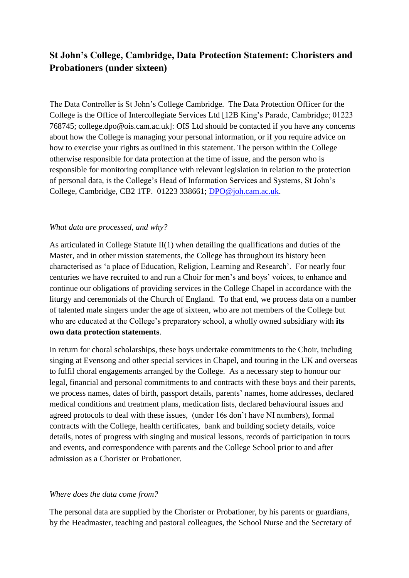# **St John's College, Cambridge, Data Protection Statement: Choristers and Probationers (under sixteen)**

The Data Controller is St John's College Cambridge. The Data Protection Officer for the College is the Office of Intercollegiate Services Ltd [12B King's Parade, Cambridge; 01223 768745; college.dpo@ois.cam.ac.uk]: OIS Ltd should be contacted if you have any concerns about how the College is managing your personal information, or if you require advice on how to exercise your rights as outlined in this statement. The person within the College otherwise responsible for data protection at the time of issue, and the person who is responsible for monitoring compliance with relevant legislation in relation to the protection of personal data, is the College's Head of Information Services and Systems, St John's College, Cambridge, CB2 1TP. 01223 338661; [DPO@joh.cam.ac.uk.](mailto:DPO@joh.cam.ac.uk)

#### *What data are processed, and why?*

As articulated in College Statute  $II(1)$  when detailing the qualifications and duties of the Master, and in other mission statements, the College has throughout its history been characterised as 'a place of Education, Religion, Learning and Research'. For nearly four centuries we have recruited to and run a Choir for men's and boys' voices, to enhance and continue our obligations of providing services in the College Chapel in accordance with the liturgy and ceremonials of the Church of England. To that end, we process data on a number of talented male singers under the age of sixteen, who are not members of the College but who are educated at the College's preparatory school, a wholly owned subsidiary with **its own data protection statements**.

In return for choral scholarships, these boys undertake commitments to the Choir, including singing at Evensong and other special services in Chapel, and touring in the UK and overseas to fulfil choral engagements arranged by the College. As a necessary step to honour our legal, financial and personal commitments to and contracts with these boys and their parents, we process names, dates of birth, passport details, parents' names, home addresses, declared medical conditions and treatment plans, medication lists, declared behavioural issues and agreed protocols to deal with these issues, (under 16s don't have NI numbers), formal contracts with the College, health certificates, bank and building society details, voice details, notes of progress with singing and musical lessons, records of participation in tours and events, and correspondence with parents and the College School prior to and after admission as a Chorister or Probationer.

#### *Where does the data come from?*

The personal data are supplied by the Chorister or Probationer, by his parents or guardians, by the Headmaster, teaching and pastoral colleagues, the School Nurse and the Secretary of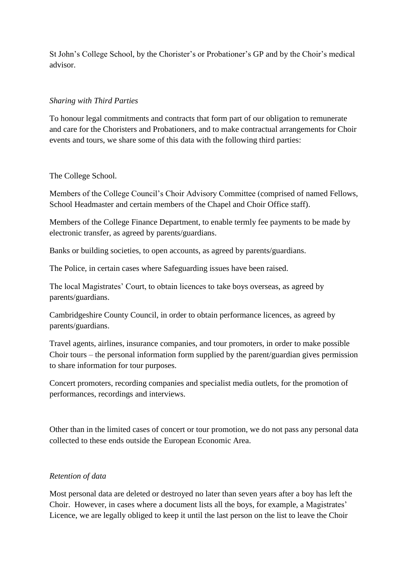St John's College School, by the Chorister's or Probationer's GP and by the Choir's medical advisor.

## *Sharing with Third Parties*

To honour legal commitments and contracts that form part of our obligation to remunerate and care for the Choristers and Probationers, and to make contractual arrangements for Choir events and tours, we share some of this data with the following third parties:

#### The College School.

Members of the College Council's Choir Advisory Committee (comprised of named Fellows, School Headmaster and certain members of the Chapel and Choir Office staff).

Members of the College Finance Department, to enable termly fee payments to be made by electronic transfer, as agreed by parents/guardians.

Banks or building societies, to open accounts, as agreed by parents/guardians.

The Police, in certain cases where Safeguarding issues have been raised.

The local Magistrates' Court, to obtain licences to take boys overseas, as agreed by parents/guardians.

Cambridgeshire County Council, in order to obtain performance licences, as agreed by parents/guardians.

Travel agents, airlines, insurance companies, and tour promoters, in order to make possible Choir tours – the personal information form supplied by the parent/guardian gives permission to share information for tour purposes.

Concert promoters, recording companies and specialist media outlets, for the promotion of performances, recordings and interviews.

Other than in the limited cases of concert or tour promotion, we do not pass any personal data collected to these ends outside the European Economic Area.

## *Retention of data*

Most personal data are deleted or destroyed no later than seven years after a boy has left the Choir. However, in cases where a document lists all the boys, for example, a Magistrates' Licence, we are legally obliged to keep it until the last person on the list to leave the Choir